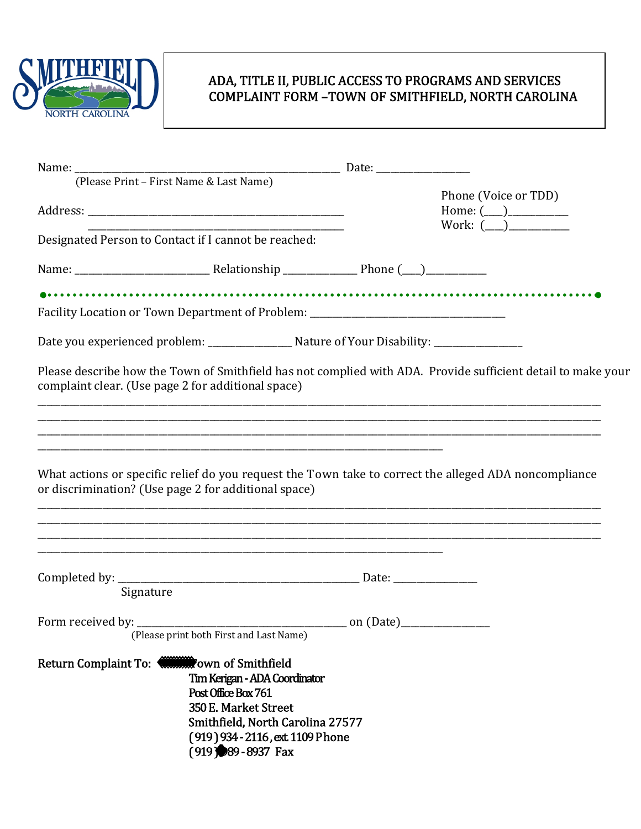

## ADA, TITLE II, PUBLIC ACCESS TO PROGRAMS AND SERVICES COMPLAINT FORM -TOWN OF SMITHFIELD, NORTH CAROLINA

| (Please Print - First Name & Last Name)              |                                                                                                                                                                                                          |                                                                                                              |
|------------------------------------------------------|----------------------------------------------------------------------------------------------------------------------------------------------------------------------------------------------------------|--------------------------------------------------------------------------------------------------------------|
|                                                      |                                                                                                                                                                                                          | Phone (Voice or TDD)<br>Home: $(\_)$<br>Work: (___)___________                                               |
| Designated Person to Contact if I cannot be reached: |                                                                                                                                                                                                          |                                                                                                              |
|                                                      |                                                                                                                                                                                                          |                                                                                                              |
|                                                      | Facility Location or Town Department of Problem: _______________________________                                                                                                                         |                                                                                                              |
|                                                      | Date you experienced problem: ___________________ Nature of Your Disability: _______________                                                                                                             |                                                                                                              |
| complaint clear. (Use page 2 for additional space)   |                                                                                                                                                                                                          | Please describe how the Town of Smithfield has not complied with ADA. Provide sufficient detail to make your |
| or discrimination? (Use page 2 for additional space) |                                                                                                                                                                                                          | What actions or specific relief do you request the Town take to correct the alleged ADA noncompliance        |
|                                                      |                                                                                                                                                                                                          |                                                                                                              |
| Signature                                            |                                                                                                                                                                                                          |                                                                                                              |
|                                                      | (Please print both First and Last Name)                                                                                                                                                                  |                                                                                                              |
| <b>Return Complaint To:</b>                          | <b>Town of Smithfield</b><br>Tim Kerigan - ADA Coordinator<br>Post Office Box 761<br>350 E. Market Street<br>Smithfield, North Carolina 27577<br>(919) 934 - 2116, ext. 1109 Phone<br>(919) 989-8937 Fax |                                                                                                              |